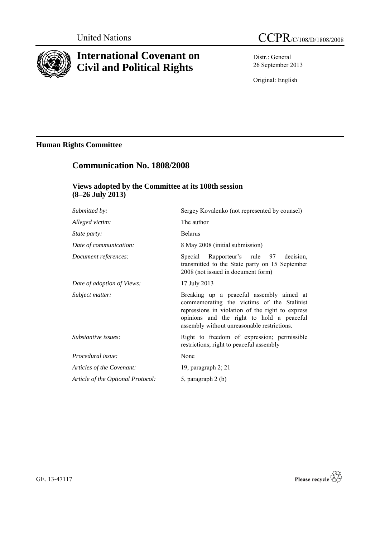

# **International Covenant on Civil and Political Rights**

Distr.: General 26 September 2013

Original: English

## **Human Rights Committee**

# **Communication No. 1808/2008**

## **Views adopted by the Committee at its 108th session (8–26 July 2013)**

| Submitted by:                     | Sergey Kovalenko (not represented by counsel)                                                                                                                                                                                          |
|-----------------------------------|----------------------------------------------------------------------------------------------------------------------------------------------------------------------------------------------------------------------------------------|
| Alleged victim:                   | The author                                                                                                                                                                                                                             |
| <i>State party:</i>               | <b>Belarus</b>                                                                                                                                                                                                                         |
| Date of communication:            | 8 May 2008 (initial submission)                                                                                                                                                                                                        |
| Document references:              | Special Rapporteur's rule 97 decision,<br>transmitted to the State party on 15 September<br>2008 (not issued in document form)                                                                                                         |
| Date of adoption of Views:        | 17 July 2013                                                                                                                                                                                                                           |
| Subject matter:                   | Breaking up a peaceful assembly aimed at<br>commemorating the victims of the Stalinist<br>repressions in violation of the right to express<br>opinions and the right to hold a peaceful<br>assembly without unreasonable restrictions. |
| Substantive issues:               | Right to freedom of expression; permissible<br>restrictions; right to peaceful assembly                                                                                                                                                |
| Procedural issue:                 | None                                                                                                                                                                                                                                   |
| Articles of the Covenant:         | 19, paragraph $2$ ; 21                                                                                                                                                                                                                 |
| Article of the Optional Protocol: | 5, paragraph 2 (b)                                                                                                                                                                                                                     |
|                                   |                                                                                                                                                                                                                                        |

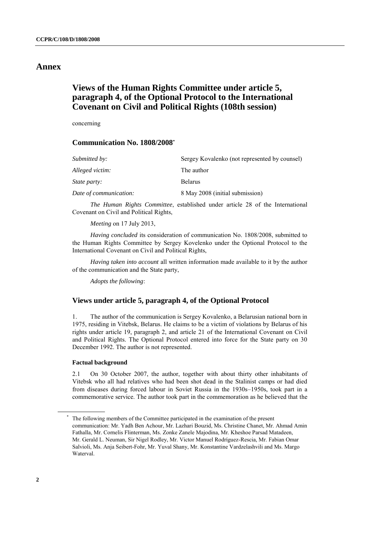## **Annex**

## **Views of the Human Rights Committee under article 5, paragraph 4, of the Optional Protocol to the International Covenant on Civil and Political Rights (108th session)**

concerning

### **Communication No. 1808/2008\***

| Submitted by:          | Sergey Kovalenko (not represented by counsel) |
|------------------------|-----------------------------------------------|
| Alleged victim:        | The author                                    |
| <i>State party:</i>    | <b>Belarus</b>                                |
| Date of communication: | 8 May 2008 (initial submission)               |

*The Human Rights Committee*, established under article 28 of the International Covenant on Civil and Political Rights,

*Meeting* on 17 July 2013,

*Having concluded* its consideration of communication No. 1808/2008, submitted to the Human Rights Committee by Sergey Kovelenko under the Optional Protocol to the International Covenant on Civil and Political Rights,

*Having taken into account* all written information made available to it by the author of the communication and the State party,

*Adopts the following*:

### **Views under article 5, paragraph 4, of the Optional Protocol**

1. The author of the communication is Sergey Kovalenko, a Belarusian national born in 1975, residing in Vitebsk, Belarus. He claims to be a victim of violations by Belarus of his rights under article 19, paragraph 2, and article 21 of the International Covenant on Civil and Political Rights. The Optional Protocol entered into force for the State party on 30 December 1992. The author is not represented.

#### **Factual background**

2.1 On 30 October 2007, the author, together with about thirty other inhabitants of Vitebsk who all had relatives who had been shot dead in the Stalinist camps or had died from diseases during forced labour in Soviet Russia in the 1930s–1950s, took part in a commemorative service. The author took part in the commemoration as he believed that the

The following members of the Committee participated in the examination of the present communication: Mr. Yadh Ben Achour, Mr. Lazhari Bouzid, Ms. Christine Chanet, Mr. Ahmad Amin Fathalla, Mr. Cornelis Flinterman, Ms. Zonke Zanele Majodina, Mr. Kheshoe Parsad Matadeen, Mr. Gerald L. Neuman, Sir Nigel Rodley, Mr. Victor Manuel Rodríguez-Rescia, Mr. Fabian Omar Salvioli, Ms. Anja Seibert-Fohr, Mr. Yuval Shany, Mr. Konstantine Vardzelashvili and Ms. Margo Waterval.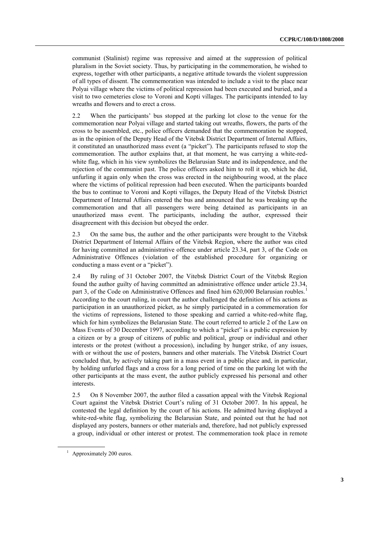communist (Stalinist) regime was repressive and aimed at the suppression of political pluralism in the Soviet society. Thus, by participating in the commemoration, he wished to express, together with other participants, a negative attitude towards the violent suppression of all types of dissent. The commemoration was intended to include a visit to the place near Polyai village where the victims of political repression had been executed and buried, and a visit to two cemeteries close to Voroni and Kopti villages. The participants intended to lay wreaths and flowers and to erect a cross.

2.2 When the participants' bus stopped at the parking lot close to the venue for the commemoration near Polyai village and started taking out wreaths, flowers, the parts of the cross to be assembled, etc., police officers demanded that the commemoration be stopped, as in the opinion of the Deputy Head of the Vitebsk District Department of Internal Affairs, it constituted an unauthorized mass event (a "picket"). The participants refused to stop the commemoration. The author explains that, at that moment, he was carrying a white-redwhite flag, which in his view symbolizes the Belarusian State and its independence, and the rejection of the communist past. The police officers asked him to roll it up, which he did, unfurling it again only when the cross was erected in the neighbouring wood, at the place where the victims of political repression had been executed. When the participants boarded the bus to continue to Voroni and Kopti villages, the Deputy Head of the Vitebsk District Department of Internal Affairs entered the bus and announced that he was breaking up the commemoration and that all passengers were being detained as participants in an unauthorized mass event. The participants, including the author, expressed their disagreement with this decision but obeyed the order.

2.3 On the same bus, the author and the other participants were brought to the Vitebsk District Department of Internal Affairs of the Vitebsk Region, where the author was cited for having committed an administrative offence under article 23.34, part 3, of the Code on Administrative Offences (violation of the established procedure for organizing or conducting a mass event or a "picket").

2.4 By ruling of 31 October 2007, the Vitebsk District Court of the Vitebsk Region found the author guilty of having committed an administrative offence under article 23.34, part 3, of the Code on Administrative Offences and fined him 620,000 Belarusian roubles.<sup>1</sup> According to the court ruling, in court the author challenged the definition of his actions as participation in an unauthorized picket, as he simply participated in a commemoration for the victims of repressions, listened to those speaking and carried a white-red-white flag, which for him symbolizes the Belarusian State. The court referred to article 2 of the Law on Mass Events of 30 December 1997, according to which a "picket" is a public expression by a citizen or by a group of citizens of public and political, group or individual and other interests or the protest (without a procession), including by hunger strike, of any issues, with or without the use of posters, banners and other materials. The Vitebsk District Court concluded that, by actively taking part in a mass event in a public place and, in particular, by holding unfurled flags and a cross for a long period of time on the parking lot with the other participants at the mass event, the author publicly expressed his personal and other interests.

2.5 On 8 November 2007, the author filed a cassation appeal with the Vitebsk Regional Court against the Vitebsk District Court's ruling of 31 October 2007. In his appeal, he contested the legal definition by the court of his actions. He admitted having displayed a white-red-white flag, symbolizing the Belarusian State, and pointed out that he had not displayed any posters, banners or other materials and, therefore, had not publicly expressed a group, individual or other interest or protest. The commemoration took place in remote

<sup>&</sup>lt;sup>1</sup> Approximately 200 euros.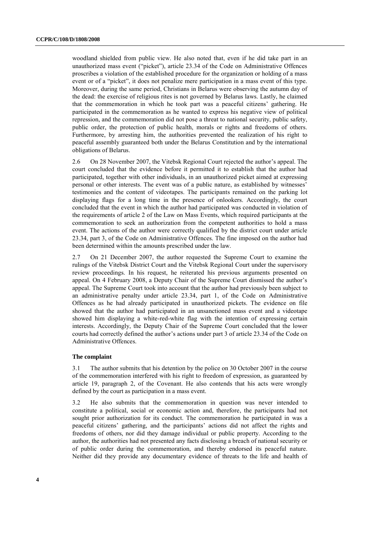woodland shielded from public view. He also noted that, even if he did take part in an unauthorized mass event ("picket"), article 23.34 of the Code on Administrative Offences proscribes a violation of the established procedure for the organization or holding of a mass event or of a "picket", it does not penalize mere participation in a mass event of this type. Moreover, during the same period, Christians in Belarus were observing the autumn day of the dead: the exercise of religious rites is not governed by Belarus laws. Lastly, he claimed that the commemoration in which he took part was a peaceful citizens' gathering. He participated in the commemoration as he wanted to express his negative view of political repression, and the commemoration did not pose a threat to national security, public safety, public order, the protection of public health, morals or rights and freedoms of others. Furthermore, by arresting him, the authorities prevented the realization of his right to peaceful assembly guaranteed both under the Belarus Constitution and by the international obligations of Belarus.

2.6 On 28 November 2007, the Vitebsk Regional Court rejected the author's appeal. The court concluded that the evidence before it permitted it to establish that the author had participated, together with other individuals, in an unauthorized picket aimed at expressing personal or other interests. The event was of a public nature, as established by witnesses' testimonies and the content of videotapes. The participants remained on the parking lot displaying flags for a long time in the presence of onlookers. Accordingly, the court concluded that the event in which the author had participated was conducted in violation of the requirements of article 2 of the Law on Mass Events, which required participants at the commemoration to seek an authorization from the competent authorities to hold a mass event. The actions of the author were correctly qualified by the district court under article 23.34, part 3, of the Code on Administrative Offences. The fine imposed on the author had been determined within the amounts prescribed under the law.

2.7 On 21 December 2007, the author requested the Supreme Court to examine the rulings of the Vitebsk District Court and the Vitebsk Regional Court under the supervisory review proceedings. In his request, he reiterated his previous arguments presented on appeal. On 4 February 2008, a Deputy Chair of the Supreme Court dismissed the author's appeal. The Supreme Court took into account that the author had previously been subject to an administrative penalty under article 23.34, part 1, of the Code on Administrative Offences as he had already participated in unauthorized pickets. The evidence on file showed that the author had participated in an unsanctioned mass event and a videotape showed him displaying a white-red-white flag with the intention of expressing certain interests. Accordingly, the Deputy Chair of the Supreme Court concluded that the lower courts had correctly defined the author's actions under part 3 of article 23.34 of the Code on Administrative Offences.

#### **The complaint**

3.1 The author submits that his detention by the police on 30 October 2007 in the course of the commemoration interfered with his right to freedom of expression, as guaranteed by article 19, paragraph 2, of the Covenant. He also contends that his acts were wrongly defined by the court as participation in a mass event.

3.2 He also submits that the commemoration in question was never intended to constitute a political, social or economic action and, therefore, the participants had not sought prior authorization for its conduct. The commemoration he participated in was a peaceful citizens' gathering, and the participants' actions did not affect the rights and freedoms of others, nor did they damage individual or public property. According to the author, the authorities had not presented any facts disclosing a breach of national security or of public order during the commemoration, and thereby endorsed its peaceful nature. Neither did they provide any documentary evidence of threats to the life and health of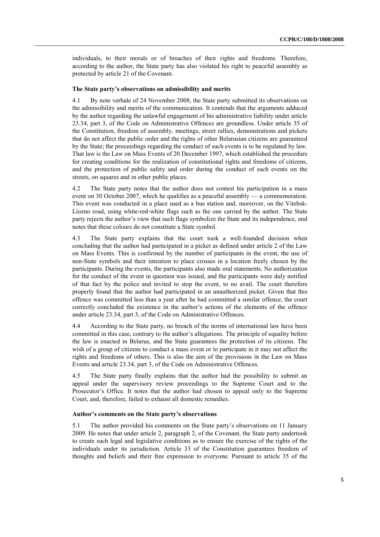individuals, to their morals or of breaches of their rights and freedoms. Therefore, according to the author, the State party has also violated his right to peaceful assembly as protected by article 21 of the Covenant.

#### **The State party's observations on admissibility and merits**

4.1 By note verbale of 24 November 2008, the State party submitted its observations on the admissibility and merits of the communication. It contends that the arguments adduced by the author regarding the unlawful engagement of his administrative liability under article 23.34, part 3, of the Code on Administrative Offences are groundless. Under article 35 of the Constitution, freedom of assembly, meetings, street rallies, demonstrations and pickets that do not affect the public order and the rights of other Belarusian citizens are guaranteed by the State; the proceedings regarding the conduct of such events is to be regulated by law. That law is the Law on Mass Events of 20 December 1997, which established the procedure for creating conditions for the realization of constitutional rights and freedoms of citizens, and the protection of public safety and order during the conduct of such events on the streets, on squares and in other public places.

4.2 The State party notes that the author does not contest his participation in a mass event on 30 October 2007, which he qualifies as a peaceful assembly — a commemoration. This event was conducted in a place used as a bus station and, moreover, on the Vitebsk-Liozno road, using white-red-white flags such as the one carried by the author. The State party rejects the author's view that such flags symbolize the State and its independence, and notes that these colours do not constitute a State symbol.

4.3 The State party explains that the court took a well-founded decision when concluding that the author had participated in a picket as defined under article 2 of the Law on Mass Events. This is confirmed by the number of participants in the event, the use of non-State symbols and their intention to place crosses in a location freely chosen by the participants. During the events, the participants also made oral statements. No authorization for the conduct of the event in question was issued, and the participants were duly notified of that fact by the police and invited to stop the event, to no avail. The court therefore properly found that the author had participated in an unauthorized picket. Given that this offence was committed less than a year after he had committed a similar offence, the court correctly concluded the existence in the author's actions of the elements of the offence under article 23.34, part 3, of the Code on Administrative Offences.

4.4 According to the State party, no breach of the norms of international law have been committed in this case, contrary to the author's allegations. The principle of equality before the law is enacted in Belarus, and the State guarantees the protection of its citizens. The wish of a group of citizens to conduct a mass event or to participate in it may not affect the rights and freedoms of others. This is also the aim of the provisions in the Law on Mass Events and article 23.34, part 3, of the Code on Administrative Offences.

4.5 The State party finally explains that the author had the possibility to submit an appeal under the supervisory review proceedings to the Supreme Court and to the Prosecutor's Office. It notes that the author had chosen to appeal only to the Supreme Court, and, therefore, failed to exhaust all domestic remedies.

#### **Author's comments on the State party's observations**

5.1 The author provided his comments on the State party's observations on 11 January 2009. He notes that under article 2, paragraph 2, of the Covenant, the State party undertook to create such legal and legislative conditions as to ensure the exercise of the rights of the individuals under its jurisdiction. Article 33 of the Constitution guarantees freedom of thoughts and beliefs and their free expression to everyone. Pursuant to article 35 of the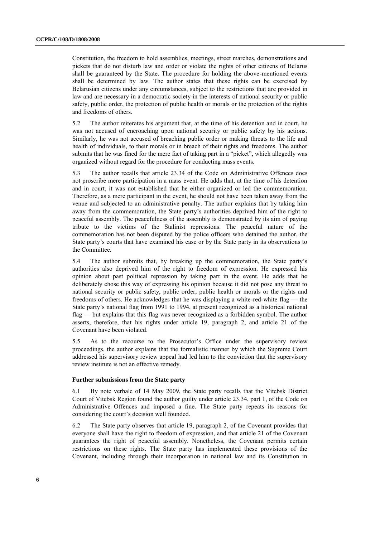Constitution, the freedom to hold assemblies, meetings, street marches, demonstrations and pickets that do not disturb law and order or violate the rights of other citizens of Belarus shall be guaranteed by the State. The procedure for holding the above-mentioned events shall be determined by law. The author states that these rights can be exercised by Belarusian citizens under any circumstances, subject to the restrictions that are provided in law and are necessary in a democratic society in the interests of national security or public safety, public order, the protection of public health or morals or the protection of the rights and freedoms of others.

5.2 The author reiterates his argument that, at the time of his detention and in court, he was not accused of encroaching upon national security or public safety by his actions. Similarly, he was not accused of breaching public order or making threats to the life and health of individuals, to their morals or in breach of their rights and freedoms. The author submits that he was fined for the mere fact of taking part in a "picket", which allegedly was organized without regard for the procedure for conducting mass events.

5.3 The author recalls that article 23.34 of the Code on Administrative Offences does not proscribe mere participation in a mass event. He adds that, at the time of his detention and in court, it was not established that he either organized or led the commemoration. Therefore, as a mere participant in the event, he should not have been taken away from the venue and subjected to an administrative penalty. The author explains that by taking him away from the commemoration, the State party's authorities deprived him of the right to peaceful assembly. The peacefulness of the assembly is demonstrated by its aim of paying tribute to the victims of the Stalinist repressions. The peaceful nature of the commemoration has not been disputed by the police officers who detained the author, the State party's courts that have examined his case or by the State party in its observations to the Committee.

5.4 The author submits that, by breaking up the commemoration, the State party's authorities also deprived him of the right to freedom of expression. He expressed his opinion about past political repression by taking part in the event. He adds that he deliberately chose this way of expressing his opinion because it did not pose any threat to national security or public safety, public order, public health or morals or the rights and freedoms of others. He acknowledges that he was displaying a white-red-white flag — the State party's national flag from 1991 to 1994, at present recognized as a historical national flag — but explains that this flag was never recognized as a forbidden symbol. The author asserts, therefore, that his rights under article 19, paragraph 2, and article 21 of the Covenant have been violated.

5.5 As to the recourse to the Prosecutor's Office under the supervisory review proceedings, the author explains that the formalistic manner by which the Supreme Court addressed his supervisory review appeal had led him to the conviction that the supervisory review institute is not an effective remedy.

#### **Further submissions from the State party**

6.1 By note verbale of 14 May 2009, the State party recalls that the Vitebsk District Court of Vitebsk Region found the author guilty under article 23.34, part 1, of the Code on Administrative Offences and imposed a fine. The State party repeats its reasons for considering the court's decision well founded.

6.2 The State party observes that article 19, paragraph 2, of the Covenant provides that everyone shall have the right to freedom of expression, and that article 21 of the Covenant guarantees the right of peaceful assembly. Nonetheless, the Covenant permits certain restrictions on these rights. The State party has implemented these provisions of the Covenant, including through their incorporation in national law and its Constitution in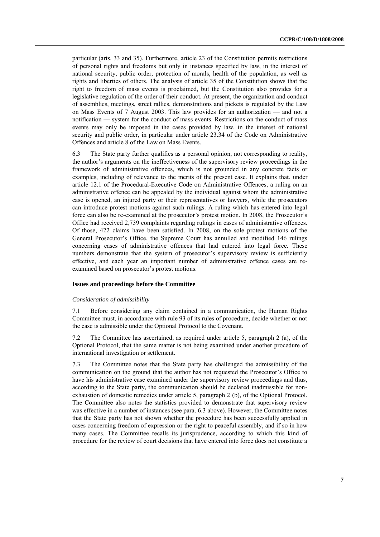particular (arts. 33 and 35). Furthermore, article 23 of the Constitution permits restrictions of personal rights and freedoms but only in instances specified by law, in the interest of national security, public order, protection of morals, health of the population, as well as rights and liberties of others. The analysis of article 35 of the Constitution shows that the right to freedom of mass events is proclaimed, but the Constitution also provides for a legislative regulation of the order of their conduct. At present, the organization and conduct of assemblies, meetings, street rallies, demonstrations and pickets is regulated by the Law on Mass Events of 7 August 2003. This law provides for an authorization — and not a notification — system for the conduct of mass events. Restrictions on the conduct of mass events may only be imposed in the cases provided by law, in the interest of national security and public order, in particular under article 23.34 of the Code on Administrative Offences and article 8 of the Law on Mass Events.

6.3 The State party further qualifies as a personal opinion, not corresponding to reality, the author's arguments on the ineffectiveness of the supervisory review proceedings in the framework of administrative offences, which is not grounded in any concrete facts or examples, including of relevance to the merits of the present case. It explains that, under article 12.1 of the Procedural-Executive Code on Administrative Offences, a ruling on an administrative offence can be appealed by the individual against whom the administrative case is opened, an injured party or their representatives or lawyers, while the prosecutors can introduce protest motions against such rulings. A ruling which has entered into legal force can also be re-examined at the prosecutor's protest motion. In 2008, the Prosecutor's Office had received 2,739 complaints regarding rulings in cases of administrative offences. Of those, 422 claims have been satisfied. In 2008, on the sole protest motions of the General Prosecutor's Office, the Supreme Court has annulled and modified 146 rulings concerning cases of administrative offences that had entered into legal force. These numbers demonstrate that the system of prosecutor's supervisory review is sufficiently effective, and each year an important number of administrative offence cases are reexamined based on prosecutor's protest motions.

#### **Issues and proceedings before the Committee**

#### *Consideration of admissibility*

7.1 Before considering any claim contained in a communication, the Human Rights Committee must, in accordance with rule 93 of its rules of procedure, decide whether or not the case is admissible under the Optional Protocol to the Covenant.

7.2 The Committee has ascertained, as required under article 5, paragraph 2 (a), of the Optional Protocol, that the same matter is not being examined under another procedure of international investigation or settlement.

7.3 The Committee notes that the State party has challenged the admissibility of the communication on the ground that the author has not requested the Prosecutor's Office to have his administrative case examined under the supervisory review proceedings and thus, according to the State party, the communication should be declared inadmissible for nonexhaustion of domestic remedies under article 5, paragraph 2 (b), of the Optional Protocol. The Committee also notes the statistics provided to demonstrate that supervisory review was effective in a number of instances (see para. 6.3 above). However, the Committee notes that the State party has not shown whether the procedure has been successfully applied in cases concerning freedom of expression or the right to peaceful assembly, and if so in how many cases. The Committee recalls its jurisprudence, according to which this kind of procedure for the review of court decisions that have entered into force does not constitute a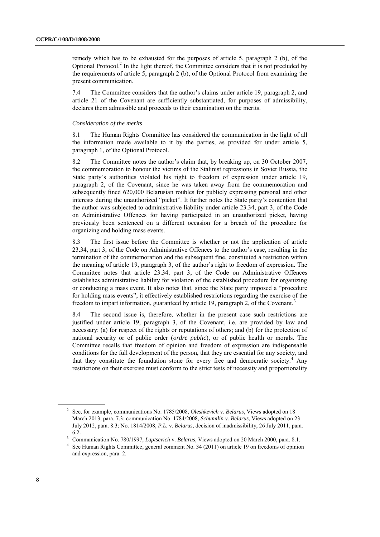remedy which has to be exhausted for the purposes of article 5, paragraph 2 (b), of the Optional Protocol.<sup>2</sup> In the light thereof, the Committee considers that it is not precluded by the requirements of article 5, paragraph 2 (b), of the Optional Protocol from examining the present communication.

7.4 The Committee considers that the author's claims under article 19, paragraph 2, and article 21 of the Covenant are sufficiently substantiated, for purposes of admissibility, declares them admissible and proceeds to their examination on the merits.

#### *Consideration of the merits*

8.1 The Human Rights Committee has considered the communication in the light of all the information made available to it by the parties, as provided for under article 5, paragraph 1, of the Optional Protocol.

8.2 The Committee notes the author's claim that, by breaking up, on 30 October 2007, the commemoration to honour the victims of the Stalinist repressions in Soviet Russia, the State party's authorities violated his right to freedom of expression under article 19, paragraph 2, of the Covenant, since he was taken away from the commemoration and subsequently fined 620,000 Belarusian roubles for publicly expressing personal and other interests during the unauthorized "picket". It further notes the State party's contention that the author was subjected to administrative liability under article 23.34, part 3, of the Code on Administrative Offences for having participated in an unauthorized picket, having previously been sentenced on a different occasion for a breach of the procedure for organizing and holding mass events.

8.3 The first issue before the Committee is whether or not the application of article 23.34, part 3, of the Code on Administrative Offences to the author's case, resulting in the termination of the commemoration and the subsequent fine, constituted a restriction within the meaning of article 19, paragraph 3, of the author's right to freedom of expression. The Committee notes that article 23.34, part 3, of the Code on Administrative Offences establishes administrative liability for violation of the established procedure for organizing or conducting a mass event. It also notes that, since the State party imposed a "procedure for holding mass events", it effectively established restrictions regarding the exercise of the freedom to impart information, guaranteed by article 19, paragraph 2, of the Covenant.<sup>3</sup>

8.4 The second issue is, therefore, whether in the present case such restrictions are justified under article 19, paragraph 3, of the Covenant, i.e. are provided by law and necessary: (a) for respect of the rights or reputations of others; and (b) for the protection of national security or of public order (*ordre public*), or of public health or morals. The Committee recalls that freedom of opinion and freedom of expression are indispensable conditions for the full development of the person, that they are essential for any society, and that they constitute the foundation stone for every free and democratic society.<sup>4</sup> Any restrictions on their exercise must conform to the strict tests of necessity and proportionality

<sup>2</sup> See, for example, communications No. 1785/2008, *Oleshkevich* v. *Belarus*, Views adopted on 18 March 2013, para. 7.3; communication No. 1784/2008, *Schumilin* v. *Belarus*, Views adopted on 23 July 2012, para. 8.3; No. 1814/2008, *P.L.* v. *Belarus*, decision of inadmissibility, 26 July 2011, para. 6.2.

<sup>&</sup>lt;sup>3</sup> Communication No. 780/1997, *Laptsevich* v. *Belarus*, Views adopted on 20 March 2000, para. 8.1.

<sup>&</sup>lt;sup>4</sup> See Human Rights Committee, general comment No. 34 (2011) on article 19 on freedoms of opinion and expression, para. 2.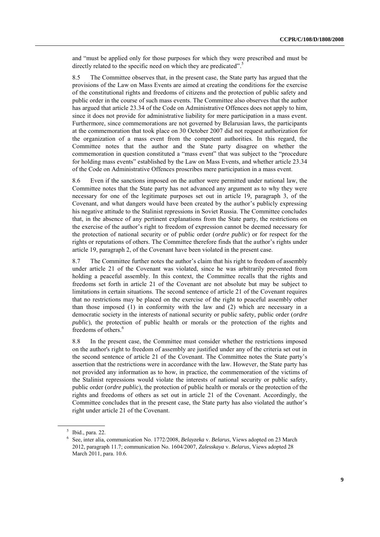and "must be applied only for those purposes for which they were prescribed and must be directly related to the specific need on which they are predicated".<sup>5</sup>

8.5 The Committee observes that, in the present case, the State party has argued that the provisions of the Law on Mass Events are aimed at creating the conditions for the exercise of the constitutional rights and freedoms of citizens and the protection of public safety and public order in the course of such mass events. The Committee also observes that the author has argued that article 23.34 of the Code on Administrative Offences does not apply to him, since it does not provide for administrative liability for mere participation in a mass event. Furthermore, since commemorations are not governed by Belarusian laws, the participants at the commemoration that took place on 30 October 2007 did not request authorization for the organization of a mass event from the competent authorities. In this regard, the Committee notes that the author and the State party disagree on whether the commemoration in question constituted a "mass event" that was subject to the "procedure for holding mass events" established by the Law on Mass Events, and whether article 23.34 of the Code on Administrative Offences proscribes mere participation in a mass event.

8.6 Even if the sanctions imposed on the author were permitted under national law, the Committee notes that the State party has not advanced any argument as to why they were necessary for one of the legitimate purposes set out in article 19, paragraph 3, of the Covenant, and what dangers would have been created by the author's publicly expressing his negative attitude to the Stalinist repressions in Soviet Russia. The Committee concludes that, in the absence of any pertinent explanations from the State party, the restrictions on the exercise of the author's right to freedom of expression cannot be deemed necessary for the protection of national security or of public order (*ordre public*) or for respect for the rights or reputations of others. The Committee therefore finds that the author's rights under article 19, paragraph 2, of the Covenant have been violated in the present case.

8.7 The Committee further notes the author's claim that his right to freedom of assembly under article 21 of the Covenant was violated, since he was arbitrarily prevented from holding a peaceful assembly. In this context, the Committee recalls that the rights and freedoms set forth in article 21 of the Covenant are not absolute but may be subject to limitations in certain situations. The second sentence of article 21 of the Covenant requires that no restrictions may be placed on the exercise of the right to peaceful assembly other than those imposed (1) in conformity with the law and (2) which are necessary in a democratic society in the interests of national security or public safety, public order (*ordre public*), the protection of public health or morals or the protection of the rights and freedoms of others.<sup>6</sup>

8.8 In the present case, the Committee must consider whether the restrictions imposed on the author's right to freedom of assembly are justified under any of the criteria set out in the second sentence of article 21 of the Covenant. The Committee notes the State party's assertion that the restrictions were in accordance with the law. However, the State party has not provided any information as to how, in practice, the commemoration of the victims of the Stalinist repressions would violate the interests of national security or public safety, public order (*ordre public*), the protection of public health or morals or the protection of the rights and freedoms of others as set out in article 21 of the Covenant. Accordingly, the Committee concludes that in the present case, the State party has also violated the author's right under article 21 of the Covenant.

 $<sup>5</sup>$  Ibid., para. 22.</sup>

<sup>6</sup> See, inter alia, communication No. 1772/2008, *Belayzeka* v. *Belarus*, Views adopted on 23 March 2012, paragraph 11.7; communication No. 1604/2007, *Zalesskaya* v. *Belarus*, Views adopted 28 March 2011, para. 10.6.